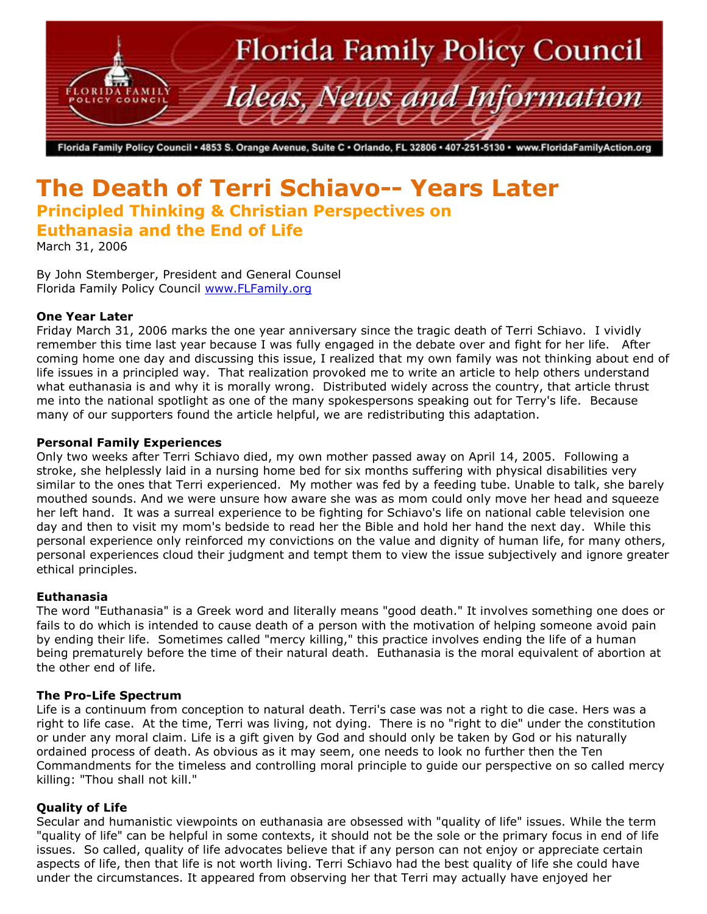

Florida Family Policy Council • 4853 S. Orange Avenue, Suite C • Orlando, FL 32806 • 407-251-5130 • www.FloridaFamilyAction.org

# **The Death of Terri Schiavo-- Years Later Principled Thinking & Christian Perspectives on Euthanasia and the End of Life**

March 31, 2006

By John Stemberger, President and General Counsel Florida Family Policy Council [www.FLFamily.org](http://www.flfamily.org/)

# **One Year Later**

Friday March 31, 2006 marks the one year anniversary since the tragic death of Terri Schiavo. I vividly remember this time last year because I was fully engaged in the debate over and fight for her life. After coming home one day and discussing this issue, I realized that my own family was not thinking about end of life issues in a principled way. That realization provoked me to write an article to help others understand what euthanasia is and why it is morally wrong. Distributed widely across the country, that article thrust me into the national spotlight as one of the many spokespersons speaking out for Terry's life. Because many of our supporters found the article helpful, we are redistributing this adaptation.

# **Personal Family Experiences**

Only two weeks after Terri Schiavo died, my own mother passed away on April 14, 2005. Following a stroke, she helplessly laid in a nursing home bed for six months suffering with physical disabilities very similar to the ones that Terri experienced. My mother was fed by a feeding tube. Unable to talk, she barely mouthed sounds. And we were unsure how aware she was as mom could only move her head and squeeze her left hand. It was a surreal experience to be fighting for Schiavo's life on national cable television one day and then to visit my mom's bedside to read her the Bible and hold her hand the next day. While this personal experience only reinforced my convictions on the value and dignity of human life, for many others, personal experiences cloud their judgment and tempt them to view the issue subjectively and ignore greater ethical principles.

# **Euthanasia**

The word "Euthanasia" is a Greek word and literally means "good death." It involves something one does or fails to do which is intended to cause death of a person with the motivation of helping someone avoid pain by ending their life. Sometimes called "mercy killing," this practice involves ending the life of a human being prematurely before the time of their natural death. Euthanasia is the moral equivalent of abortion at the other end of life.

# **The Pro-Life Spectrum**

Life is a continuum from conception to natural death. Terri's case was not a right to die case. Hers was a right to life case. At the time, Terri was living, not dying. There is no "right to die" under the constitution or under any moral claim. Life is a gift given by God and should only be taken by God or his naturally ordained process of death. As obvious as it may seem, one needs to look no further then the Ten Commandments for the timeless and controlling moral principle to guide our perspective on so called mercy killing: "Thou shall not kill."

#### **Quality of Life**

Secular and humanistic viewpoints on euthanasia are obsessed with "quality of life" issues. While the term "quality of life" can be helpful in some contexts, it should not be the sole or the primary focus in end of life issues. So called, quality of life advocates believe that if any person can not enjoy or appreciate certain aspects of life, then that life is not worth living. Terri Schiavo had the best quality of life she could have under the circumstances. It appeared from observing her that Terri may actually have enjoyed her